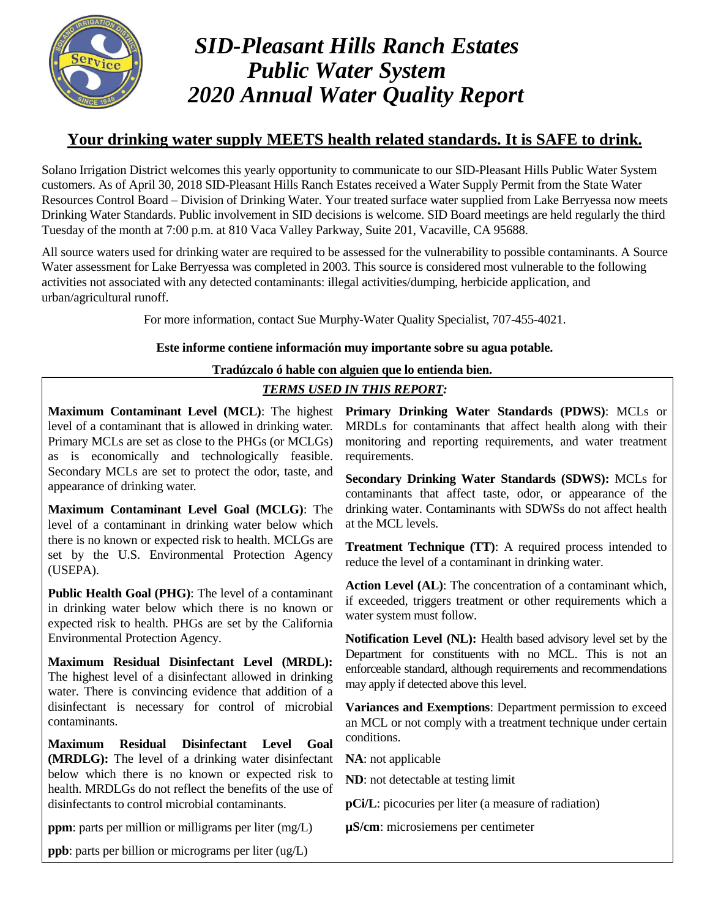

# *SID-Pleasant Hills Ranch Estates Public Water System 2020 Annual Water Quality Report*

# **Your drinking water supply MEETS health related standards. It is SAFE to drink.**

Solano Irrigation District welcomes this yearly opportunity to communicate to our SID-Pleasant Hills Public Water System customers. As of April 30, 2018 SID-Pleasant Hills Ranch Estates received a Water Supply Permit from the State Water Resources Control Board – Division of Drinking Water. Your treated surface water supplied from Lake Berryessa now meets Drinking Water Standards. Public involvement in SID decisions is welcome. SID Board meetings are held regularly the third Tuesday of the month at 7:00 p.m. at 810 Vaca Valley Parkway, Suite 201, Vacaville, CA 95688.

All source waters used for drinking water are required to be assessed for the vulnerability to possible contaminants. A Source Water assessment for Lake Berryessa was completed in 2003. This source is considered most vulnerable to the following activities not associated with any detected contaminants: illegal activities/dumping, herbicide application, and urban/agricultural runoff.

For more information, contact Sue Murphy-Water Quality Specialist, 707-455-4021.

## **Este informe contiene información muy importante sobre su agua potable.**

## **Tradúzcalo ó hable con alguien que lo entienda bien.**

## *TERMS USED IN THIS REPORT:*

level of a contaminant that is allowed in drinking water. Primary MCLs are set as close to the PHGs (or MCLGs) as is economically and technologically feasible. Secondary MCLs are set to protect the odor, taste, and appearance of drinking water.

**Maximum Contaminant Level Goal (MCLG)**: The level of a contaminant in drinking water below which there is no known or expected risk to health. MCLGs are set by the U.S. Environmental Protection Agency (USEPA).

**Public Health Goal (PHG)**: The level of a contaminant in drinking water below which there is no known or expected risk to health. PHGs are set by the California Environmental Protection Agency.

**Maximum Residual Disinfectant Level (MRDL):** The highest level of a disinfectant allowed in drinking water. There is convincing evidence that addition of a disinfectant is necessary for control of microbial contaminants.

**Maximum Residual Disinfectant Level Goal (MRDLG):** The level of a drinking water disinfectant below which there is no known or expected risk to health. MRDLGs do not reflect the benefits of the use of disinfectants to control microbial contaminants.

**ppm**: parts per million or milligrams per liter (mg/L)

**Maximum Contaminant Level (MCL)**: The highest **Primary Drinking Water Standards (PDWS)**: MCLs or MRDLs for contaminants that affect health along with their monitoring and reporting requirements, and water treatment requirements.

> **Secondary Drinking Water Standards (SDWS):** MCLs for contaminants that affect taste, odor, or appearance of the drinking water. Contaminants with SDWSs do not affect health at the MCL levels.

> **Treatment Technique (TT)**: A required process intended to reduce the level of a contaminant in drinking water.

> **Action Level (AL)**: The concentration of a contaminant which, if exceeded, triggers treatment or other requirements which a water system must follow.

> **Notification Level (NL):** Health based advisory level set by the Department for constituents with no MCL. This is not an enforceable standard, although requirements and recommendations may apply if detected above this level.

> **Variances and Exemptions**: Department permission to exceed an MCL or not comply with a treatment technique under certain conditions.

**NA**: not applicable

**ND**: not detectable at testing limit

**pCi/L**: picocuries per liter (a measure of radiation)

**µS/cm**: microsiemens per centimeter

**ppb**: parts per billion or micrograms per liter (ug/L)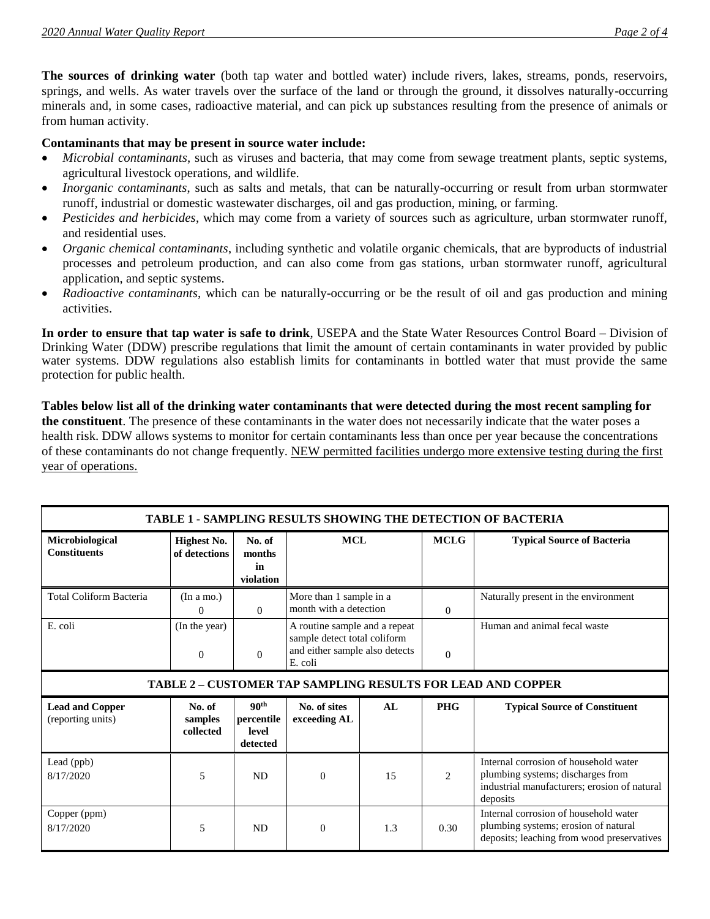**The sources of drinking water** (both tap water and bottled water) include rivers, lakes, streams, ponds, reservoirs, springs, and wells. As water travels over the surface of the land or through the ground, it dissolves naturally-occurring minerals and, in some cases, radioactive material, and can pick up substances resulting from the presence of animals or from human activity.

#### **Contaminants that may be present in source water include:**

- *Microbial contaminants*, such as viruses and bacteria, that may come from sewage treatment plants, septic systems, agricultural livestock operations, and wildlife.
- *Inorganic contaminants*, such as salts and metals, that can be naturally-occurring or result from urban stormwater runoff, industrial or domestic wastewater discharges, oil and gas production, mining, or farming.
- *Pesticides and herbicides*, which may come from a variety of sources such as agriculture, urban stormwater runoff, and residential uses.
- *Organic chemical contaminants*, including synthetic and volatile organic chemicals, that are byproducts of industrial processes and petroleum production, and can also come from gas stations, urban stormwater runoff, agricultural application, and septic systems.
- *Radioactive contaminants*, which can be naturally-occurring or be the result of oil and gas production and mining activities.

**In order to ensure that tap water is safe to drink**, USEPA and the State Water Resources Control Board – Division of Drinking Water (DDW) prescribe regulations that limit the amount of certain contaminants in water provided by public water systems. DDW regulations also establish limits for contaminants in bottled water that must provide the same protection for public health.

**Tables below list all of the drinking water contaminants that were detected during the most recent sampling for the constituent**. The presence of these contaminants in the water does not necessarily indicate that the water poses a health risk. DDW allows systems to monitor for certain contaminants less than once per year because the concentrations of these contaminants do not change frequently. NEW permitted facilities undergo more extensive testing during the first year of operations.

| <b>TABLE 1 - SAMPLING RESULTS SHOWING THE DETECTION OF BACTERIA</b> |                                     |                                                     |                                                                                                            |     |                               |                                                                                                                                        |  |  |
|---------------------------------------------------------------------|-------------------------------------|-----------------------------------------------------|------------------------------------------------------------------------------------------------------------|-----|-------------------------------|----------------------------------------------------------------------------------------------------------------------------------------|--|--|
| Microbiological<br><b>Constituents</b>                              | <b>Highest No.</b><br>of detections | No. of<br>months<br>in<br>violation                 | <b>MCL</b>                                                                                                 |     | <b>MCLG</b>                   | <b>Typical Source of Bacteria</b>                                                                                                      |  |  |
| <b>Total Coliform Bacteria</b>                                      | (In a mo.)<br>$\Omega$              | $\Omega$                                            | More than 1 sample in a<br>month with a detection                                                          |     | $\Omega$                      | Naturally present in the environment                                                                                                   |  |  |
| E. coli                                                             | (In the year)<br>$\mathbf{0}$       | $\mathbf{0}$                                        | A routine sample and a repeat<br>sample detect total coliform<br>and either sample also detects<br>E. coli |     | $\theta$                      | Human and animal fecal waste                                                                                                           |  |  |
| <b>TABLE 2 - CUSTOMER TAP SAMPLING RESULTS FOR LEAD AND COPPER</b>  |                                     |                                                     |                                                                                                            |     |                               |                                                                                                                                        |  |  |
| <b>Lead and Copper</b><br>(reporting units)                         | No. of<br>samples<br>collected      | 90 <sup>th</sup><br>percentile<br>level<br>detected | No. of sites<br>exceeding AL                                                                               | AI. | <b>PHG</b>                    | <b>Typical Source of Constituent</b>                                                                                                   |  |  |
| Lead (ppb)<br>8/17/2020                                             | 5                                   | <b>ND</b>                                           | $\Omega$                                                                                                   | 15  | $\mathfrak{D}_{\mathfrak{p}}$ | Internal corrosion of household water<br>plumbing systems; discharges from<br>industrial manufacturers; erosion of natural<br>deposits |  |  |
| Copper (ppm)<br>8/17/2020                                           | 5                                   | <b>ND</b>                                           | $\overline{0}$                                                                                             | 1.3 | 0.30                          | Internal corrosion of household water<br>plumbing systems; erosion of natural<br>deposits; leaching from wood preservatives            |  |  |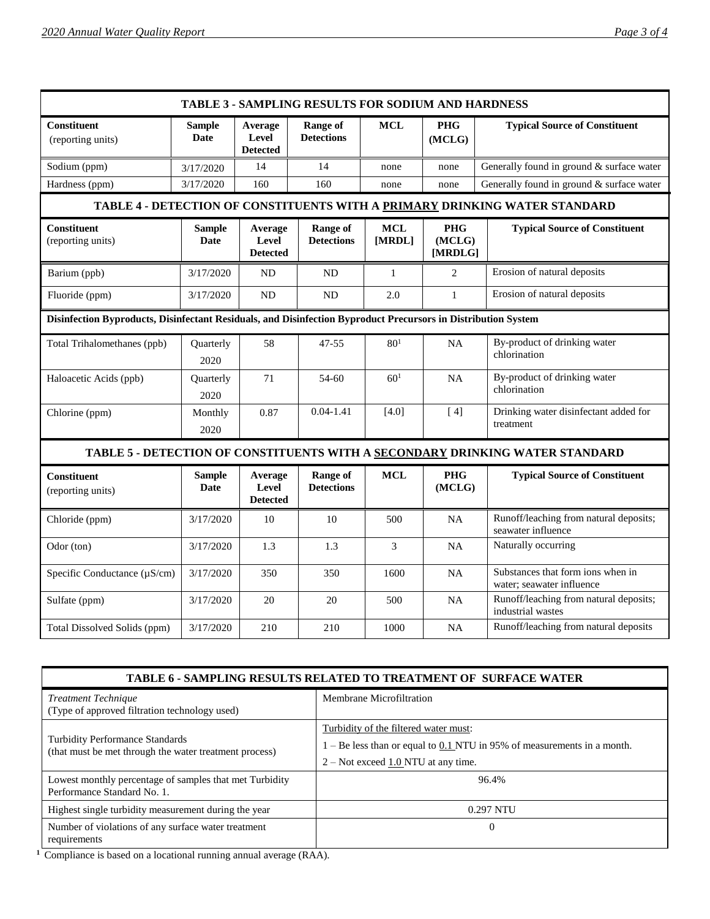| <b>TABLE 3 - SAMPLING RESULTS FOR SODIUM AND HARDNESS</b>                                                     |                       |                                     |                                      |                      |                                 |                                                                |  |
|---------------------------------------------------------------------------------------------------------------|-----------------------|-------------------------------------|--------------------------------------|----------------------|---------------------------------|----------------------------------------------------------------|--|
| <b>Constituent</b><br>(reporting units)                                                                       | <b>Sample</b><br>Date | Average<br>Level<br><b>Detected</b> | <b>Range of</b><br><b>Detections</b> | <b>MCL</b>           | <b>PHG</b><br>(MCLG)            | <b>Typical Source of Constituent</b>                           |  |
| Sodium (ppm)                                                                                                  | 3/17/2020             | 14                                  | 14                                   | none                 | none                            | Generally found in ground & surface water                      |  |
| Hardness (ppm)                                                                                                | 3/17/2020             | 160                                 | 160                                  | none                 | none                            | Generally found in ground & surface water                      |  |
| TABLE 4 - DETECTION OF CONSTITUENTS WITH A PRIMARY DRINKING WATER STANDARD                                    |                       |                                     |                                      |                      |                                 |                                                                |  |
| <b>Constituent</b><br>(reporting units)                                                                       | <b>Sample</b><br>Date | Average<br>Level<br><b>Detected</b> | Range of<br><b>Detections</b>        | <b>MCL</b><br>[MRDL] | <b>PHG</b><br>(MCLG)<br>[MRDLG] | <b>Typical Source of Constituent</b>                           |  |
| Barium (ppb)                                                                                                  | 3/17/2020             | <b>ND</b>                           | <b>ND</b>                            | $\mathbf{1}$         | $\overline{2}$                  | Erosion of natural deposits                                    |  |
| Fluoride (ppm)                                                                                                | 3/17/2020             | <b>ND</b>                           | <b>ND</b>                            | 2.0                  | $\mathbf{1}$                    | Erosion of natural deposits                                    |  |
| Disinfection Byproducts, Disinfectant Residuals, and Disinfection Byproduct Precursors in Distribution System |                       |                                     |                                      |                      |                                 |                                                                |  |
| Total Trihalomethanes (ppb)                                                                                   | Quarterly<br>2020     | 58                                  | $47 - 55$                            | 80 <sup>1</sup>      | <b>NA</b>                       | By-product of drinking water<br>chlorination                   |  |
| Haloacetic Acids (ppb)                                                                                        | Quarterly<br>2020     | 71                                  | 54-60                                | 60 <sup>1</sup>      | <b>NA</b>                       | By-product of drinking water<br>chlorination                   |  |
| Chlorine (ppm)                                                                                                | Monthly<br>2020       | 0.87                                | $0.04 - 1.41$                        | $[4.0]$              | [4]                             | Drinking water disinfectant added for<br>treatment             |  |
| TABLE 5 - DETECTION OF CONSTITUENTS WITH A SECONDARY DRINKING WATER STANDARD                                  |                       |                                     |                                      |                      |                                 |                                                                |  |
| Constituent<br>(reporting units)                                                                              | <b>Sample</b><br>Date | Average<br>Level<br><b>Detected</b> | <b>Range of</b><br><b>Detections</b> | <b>MCL</b>           | <b>PHG</b><br>(MCLG)            | <b>Typical Source of Constituent</b>                           |  |
| Chloride (ppm)                                                                                                | 3/17/2020             | 10                                  | 10                                   | 500                  | <b>NA</b>                       | Runoff/leaching from natural deposits;<br>seawater influence   |  |
| Odor (ton)                                                                                                    | 3/17/2020             | 1.3                                 | 1.3                                  | 3                    | NA                              | Naturally occurring                                            |  |
| Specific Conductance $(\mu S/cm)$                                                                             | 3/17/2020             | 350                                 | 350                                  | 1600                 | NA                              | Substances that form ions when in<br>water; seawater influence |  |
| Sulfate (ppm)                                                                                                 | 3/17/2020             | 20                                  | 20                                   | 500                  | <b>NA</b>                       | Runoff/leaching from natural deposits;<br>industrial wastes    |  |
| Total Dissolved Solids (ppm)                                                                                  | 3/17/2020             | 210                                 | 210                                  | 1000                 | <b>NA</b>                       | Runoff/leaching from natural deposits                          |  |

| TABLE 6 - SAMPLING RESULTS RELATED TO TREATMENT OF SURFACE WATER                                 |                                                                                                                                                               |  |  |  |  |
|--------------------------------------------------------------------------------------------------|---------------------------------------------------------------------------------------------------------------------------------------------------------------|--|--|--|--|
| <b>Treatment Technique</b><br>(Type of approved filtration technology used)                      | Membrane Microfiltration                                                                                                                                      |  |  |  |  |
| <b>Turbidity Performance Standards</b><br>(that must be met through the water treatment process) | Turbidity of the filtered water must:<br>$1 - Be$ less than or equal to $0.1$ NTU in 95% of measurements in a month.<br>$2 - Not exceed 1.0 NTU$ at any time. |  |  |  |  |
| Lowest monthly percentage of samples that met Turbidity<br>Performance Standard No. 1.           | 96.4%                                                                                                                                                         |  |  |  |  |
| Highest single turbidity measurement during the year                                             | 0.297 NTU                                                                                                                                                     |  |  |  |  |
| Number of violations of any surface water treatment<br>requirements                              | $\Omega$                                                                                                                                                      |  |  |  |  |

**1** Compliance is based on a locational running annual average (RAA).